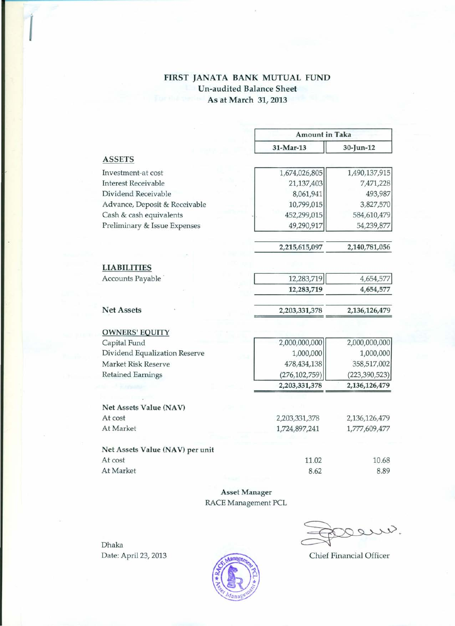## FIRST JANATA BANK MUTUAL FUND Un-audited Balance Sheet As at March 31, 2013

|                                 | <b>Amount in Taka</b> |                 |  |
|---------------------------------|-----------------------|-----------------|--|
|                                 | 31-Mar-13             | 30-Jun-12       |  |
| <b>ASSETS</b>                   |                       |                 |  |
| Investment-at cost              | 1,674,026,805         | 1,490,137,915   |  |
| <b>Interest Receivable</b>      | 21,137,403            | 7,471,228       |  |
| Dividend Receivable             | 8,061,941             | 493,987         |  |
| Advance, Deposit & Receivable   | 10,799,015            | 3,827,570       |  |
| Cash & cash equivalents         | 452,299,015           | 584,610,479     |  |
| Preliminary & Issue Expenses    | 49,290,917            | 54,239,877      |  |
|                                 | 2,215,615,097         | 2,140,781,056   |  |
| <b>LIABILITIES</b>              |                       |                 |  |
| Accounts Payable                | 12,283,719            | 4,654,577       |  |
|                                 | 12,283,719            | 4,654,577       |  |
| <b>Net Assets</b>               | 2,203,331,378         | 2,136,126,479   |  |
| <b>OWNERS' EQUITY</b>           |                       |                 |  |
| Capital Fund                    | 2,000,000,000         | 2,000,000,000   |  |
| Dividend Equalization Reserve   | 1,000,000             | 1,000,000       |  |
| Market Risk Reserve             | 478, 434, 138         | 358,517,002     |  |
| <b>Retained Earnings</b>        | (276, 102, 759)       | (223, 390, 523) |  |
|                                 | 2,203,331,378         | 2,136,126,479   |  |
| Net Assets Value (NAV)          |                       |                 |  |
| At cost                         | 2,203,331,378         | 2,136,126,479   |  |
| At Market                       | 1,724,897,241         | 1,777,609,477   |  |
| Net Assets Value (NAV) per unit |                       |                 |  |
| At cost                         | 11.02                 | 10.68           |  |
| At Market                       | 8.62                  | 8.89            |  |

Asset Manager RACE Management PCL

 $\mathcal{S}.$ O

Chief Financial Officer

Dhaka Date: April 23, 2013